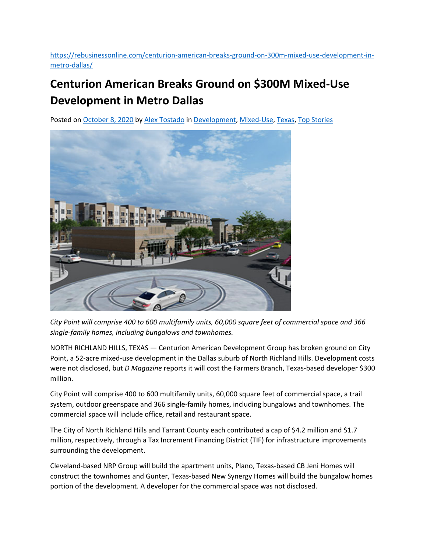https://rebusinessonline.com/centurion‐american‐breaks‐ground‐on‐300m‐mixed‐use‐development‐in‐ metro‐dallas/

## **Centurion American Breaks Ground on \$300M Mixed‐Use Development in Metro Dallas**

Posted on October 8, 2020 by Alex Tostado in Development, Mixed‐Use, Texas, Top Stories



*City Point will comprise 400 to 600 multifamily units, 60,000 square feet of commercial space and 366 single‐family homes, including bungalows and townhomes.*

NORTH RICHLAND HILLS, TEXAS — Centurion American Development Group has broken ground on City Point, a 52‐acre mixed‐use development in the Dallas suburb of North Richland Hills. Development costs were not disclosed, but *D Magazine* reports it will cost the Farmers Branch, Texas-based developer \$300 million.

City Point will comprise 400 to 600 multifamily units, 60,000 square feet of commercial space, a trail system, outdoor greenspace and 366 single‐family homes, including bungalows and townhomes. The commercial space will include office, retail and restaurant space.

The City of North Richland Hills and Tarrant County each contributed a cap of \$4.2 million and \$1.7 million, respectively, through a Tax Increment Financing District (TIF) for infrastructure improvements surrounding the development.

Cleveland‐based NRP Group will build the apartment units, Plano, Texas‐based CB Jeni Homes will construct the townhomes and Gunter, Texas‐based New Synergy Homes will build the bungalow homes portion of the development. A developer for the commercial space was not disclosed.